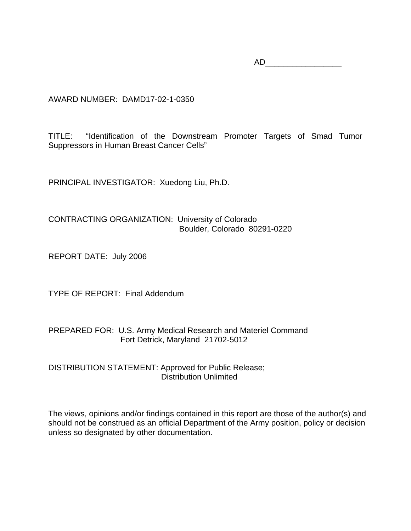AD\_\_\_\_\_\_\_\_\_\_\_\_\_\_\_\_\_

AWARD NUMBER: DAMD17-02-1-0350

TITLE: "Identification of the Downstream Promoter Targets of Smad Tumor Suppressors in Human Breast Cancer Cells"

PRINCIPAL INVESTIGATOR: Xuedong Liu, Ph.D.

CONTRACTING ORGANIZATION: University of Colorado Boulder, Colorado 80291-0220

REPORT DATE: July 2006

TYPE OF REPORT: Final Addendum

PREPARED FOR: U.S. Army Medical Research and Materiel Command Fort Detrick, Maryland 21702-5012

DISTRIBUTION STATEMENT: Approved for Public Release; Distribution Unlimited

The views, opinions and/or findings contained in this report are those of the author(s) and should not be construed as an official Department of the Army position, policy or decision unless so designated by other documentation.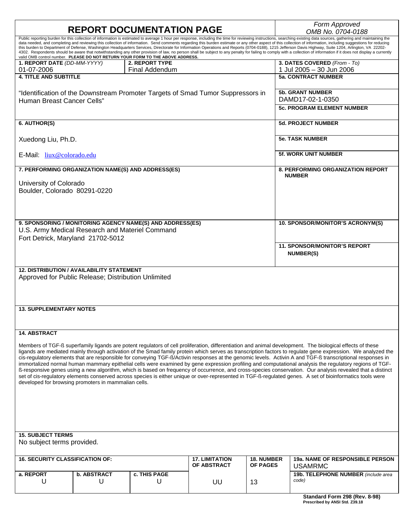| <b>REPORT DOCUMENTATION PAGE</b>                                                                                                                                                                                                                                                                                                                                                                                                                                                                                                                                                                                                                                                                                                                                                                                                                                                                                                                                                                                                      |                         |                                                                                 |                                      |                                      | Form Approved<br>OMB No. 0704-0188                        |  |  |  |  |
|---------------------------------------------------------------------------------------------------------------------------------------------------------------------------------------------------------------------------------------------------------------------------------------------------------------------------------------------------------------------------------------------------------------------------------------------------------------------------------------------------------------------------------------------------------------------------------------------------------------------------------------------------------------------------------------------------------------------------------------------------------------------------------------------------------------------------------------------------------------------------------------------------------------------------------------------------------------------------------------------------------------------------------------|-------------------------|---------------------------------------------------------------------------------|--------------------------------------|--------------------------------------|-----------------------------------------------------------|--|--|--|--|
| Public reporting burden for this collection of information is estimated to average 1 hour per response, including the time for reviewing instructions, searching existing data sources, gathering and maintaining the<br>data needed, and completing and reviewing this collection of information. Send comments regarding this burden estimate or any other aspect of this collection of information, including suggestions for reducing<br>this burden to Department of Defense, Washington Headquarters Services, Directorate for Information Operations and Reports (0704-0188), 1215 Jefferson Davis Highway, Suite 1204, Arlington, VA 22202-<br>4302. Respondents should be aware that notwithstanding any other provision of law, no person shall be subject to any penalty for failing to comply with a collection of information if it does not display a currently<br>valid OMB control number. PLEASE DO NOT RETURN YOUR FORM TO THE ABOVE ADDRESS.                                                                       |                         |                                                                                 |                                      |                                      |                                                           |  |  |  |  |
| 1. REPORT DATE (DD-MM-YYYY)<br>01-07-2006                                                                                                                                                                                                                                                                                                                                                                                                                                                                                                                                                                                                                                                                                                                                                                                                                                                                                                                                                                                             |                         | <b>2. REPORT TYPE</b><br><b>Final Addendum</b>                                  |                                      |                                      | 3. DATES COVERED (From - To)<br>1 Jul 2005 - 30 Jun 2006  |  |  |  |  |
| <b>4. TITLE AND SUBTITLE</b>                                                                                                                                                                                                                                                                                                                                                                                                                                                                                                                                                                                                                                                                                                                                                                                                                                                                                                                                                                                                          |                         |                                                                                 |                                      |                                      | <b>5a. CONTRACT NUMBER</b>                                |  |  |  |  |
| Human Breast Cancer Cells"                                                                                                                                                                                                                                                                                                                                                                                                                                                                                                                                                                                                                                                                                                                                                                                                                                                                                                                                                                                                            |                         | "Identification of the Downstream Promoter Targets of Smad Tumor Suppressors in |                                      |                                      | <b>5b. GRANT NUMBER</b><br>DAMD17-02-1-0350               |  |  |  |  |
|                                                                                                                                                                                                                                                                                                                                                                                                                                                                                                                                                                                                                                                                                                                                                                                                                                                                                                                                                                                                                                       |                         |                                                                                 |                                      | <b>5c. PROGRAM ELEMENT NUMBER</b>    |                                                           |  |  |  |  |
| 6. AUTHOR(S)                                                                                                                                                                                                                                                                                                                                                                                                                                                                                                                                                                                                                                                                                                                                                                                                                                                                                                                                                                                                                          |                         |                                                                                 |                                      |                                      | <b>5d. PROJECT NUMBER</b>                                 |  |  |  |  |
| Xuedong Liu, Ph.D.                                                                                                                                                                                                                                                                                                                                                                                                                                                                                                                                                                                                                                                                                                                                                                                                                                                                                                                                                                                                                    |                         |                                                                                 |                                      |                                      | <b>5e. TASK NUMBER</b>                                    |  |  |  |  |
| E-Mail: liux@colorado.edu                                                                                                                                                                                                                                                                                                                                                                                                                                                                                                                                                                                                                                                                                                                                                                                                                                                                                                                                                                                                             |                         |                                                                                 |                                      |                                      | <b>5f. WORK UNIT NUMBER</b>                               |  |  |  |  |
|                                                                                                                                                                                                                                                                                                                                                                                                                                                                                                                                                                                                                                                                                                                                                                                                                                                                                                                                                                                                                                       |                         | 7. PERFORMING ORGANIZATION NAME(S) AND ADDRESS(ES)                              |                                      |                                      | <b>8. PERFORMING ORGANIZATION REPORT</b><br><b>NUMBER</b> |  |  |  |  |
| University of Colorado<br>Boulder, Colorado 80291-0220                                                                                                                                                                                                                                                                                                                                                                                                                                                                                                                                                                                                                                                                                                                                                                                                                                                                                                                                                                                |                         |                                                                                 |                                      |                                      |                                                           |  |  |  |  |
| U.S. Army Medical Research and Materiel Command<br>Fort Detrick, Maryland 21702-5012                                                                                                                                                                                                                                                                                                                                                                                                                                                                                                                                                                                                                                                                                                                                                                                                                                                                                                                                                  |                         | 9. SPONSORING / MONITORING AGENCY NAME(S) AND ADDRESS(ES)                       |                                      |                                      | 10. SPONSOR/MONITOR'S ACRONYM(S)                          |  |  |  |  |
|                                                                                                                                                                                                                                                                                                                                                                                                                                                                                                                                                                                                                                                                                                                                                                                                                                                                                                                                                                                                                                       |                         |                                                                                 |                                      |                                      | <b>11. SPONSOR/MONITOR'S REPORT</b>                       |  |  |  |  |
|                                                                                                                                                                                                                                                                                                                                                                                                                                                                                                                                                                                                                                                                                                                                                                                                                                                                                                                                                                                                                                       |                         |                                                                                 |                                      |                                      | <b>NUMBER(S)</b>                                          |  |  |  |  |
| <b>12. DISTRIBUTION / AVAILABILITY STATEMENT</b><br>Approved for Public Release; Distribution Unlimited                                                                                                                                                                                                                                                                                                                                                                                                                                                                                                                                                                                                                                                                                                                                                                                                                                                                                                                               |                         |                                                                                 |                                      |                                      |                                                           |  |  |  |  |
| <b>13. SUPPLEMENTARY NOTES</b>                                                                                                                                                                                                                                                                                                                                                                                                                                                                                                                                                                                                                                                                                                                                                                                                                                                                                                                                                                                                        |                         |                                                                                 |                                      |                                      |                                                           |  |  |  |  |
| <b>14. ABSTRACT</b>                                                                                                                                                                                                                                                                                                                                                                                                                                                                                                                                                                                                                                                                                                                                                                                                                                                                                                                                                                                                                   |                         |                                                                                 |                                      |                                      |                                                           |  |  |  |  |
| Members of TGF-ß superfamily ligands are potent regulators of cell proliferation, differentiation and animal development. The biological effects of these<br>ligands are mediated mainly through activation of the Smad family protein which serves as transcription factors to regulate gene expression. We analyzed the<br>cis-regulatory elements that are responsible for conveying TGF-ß/Activin responses at the genomic levels. Activin A and TGF-ß transcriptional responses in<br>immortalized normal human mammary epithelial cells were examined by gene expression profiling and computational analysis the regulatory regions of TGF-<br>ß-responsive genes using a new algorithm, which is based on frequency of occurrence, and cross-species conservation. Our analysis revealed that a distinct<br>set of cis-regulatory elements conserved across species is either unique or over-represented in TGF-ß-regulated genes. A set of bioinformatics tools were<br>developed for browsing promoters in mammalian cells. |                         |                                                                                 |                                      |                                      |                                                           |  |  |  |  |
|                                                                                                                                                                                                                                                                                                                                                                                                                                                                                                                                                                                                                                                                                                                                                                                                                                                                                                                                                                                                                                       |                         |                                                                                 |                                      |                                      |                                                           |  |  |  |  |
| <b>15. SUBJECT TERMS</b><br>No subject terms provided.                                                                                                                                                                                                                                                                                                                                                                                                                                                                                                                                                                                                                                                                                                                                                                                                                                                                                                                                                                                |                         |                                                                                 |                                      |                                      |                                                           |  |  |  |  |
| <b>16. SECURITY CLASSIFICATION OF:</b>                                                                                                                                                                                                                                                                                                                                                                                                                                                                                                                                                                                                                                                                                                                                                                                                                                                                                                                                                                                                |                         |                                                                                 | <b>17. LIMITATION</b><br>OF ABSTRACT | <b>18. NUMBER</b><br><b>OF PAGES</b> | <b>19a. NAME OF RESPONSIBLE PERSON</b><br><b>USAMRMC</b>  |  |  |  |  |
| a. REPORT<br>U                                                                                                                                                                                                                                                                                                                                                                                                                                                                                                                                                                                                                                                                                                                                                                                                                                                                                                                                                                                                                        | <b>b. ABSTRACT</b><br>U | c. THIS PAGE<br>U                                                               | UU                                   | 13                                   | 19b. TELEPHONE NUMBER (include area<br>code)              |  |  |  |  |
|                                                                                                                                                                                                                                                                                                                                                                                                                                                                                                                                                                                                                                                                                                                                                                                                                                                                                                                                                                                                                                       |                         |                                                                                 |                                      |                                      | Standard Form 298 (Rev. 8-98)                             |  |  |  |  |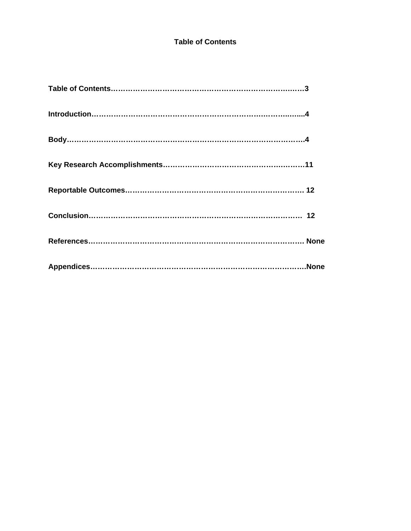## **Table of Contents**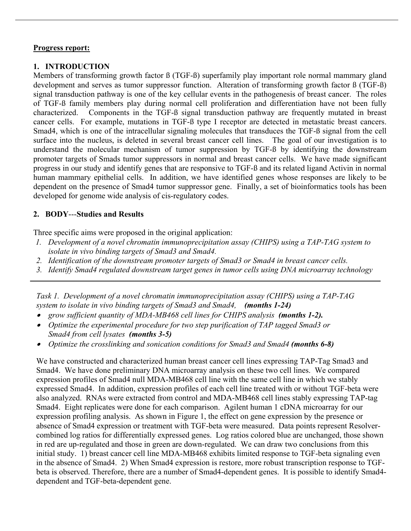## **Progress report:**

# **1. INTRODUCTION**

Members of transforming growth factor  $\beta$  (TGF- $\beta$ ) superfamily play important role normal mammary gland development and serves as tumor suppressor function. Alteration of transforming growth factor ß (TGF-ß) signal transduction pathway is one of the key cellular events in the pathogenesis of breast cancer. The roles of TGF-ß family members play during normal cell proliferation and differentiation have not been fully characterized. Components in the TGF-ß signal transduction pathway are frequently mutated in breast cancer cells. For example, mutations in TGF-ß type I receptor are detected in metastatic breast cancers. Smad4, which is one of the intracellular signaling molecules that transduces the TGF-ß signal from the cell surface into the nucleus, is deleted in several breast cancer cell lines. The goal of our investigation is to understand the molecular mechanism of tumor suppression by TGF-ß by identifying the downstream promoter targets of Smads tumor suppressors in normal and breast cancer cells. We have made significant progress in our study and identify genes that are responsive to TGF-ß and its related ligand Activin in normal human mammary epithelial cells. In addition, we have identified genes whose responses are likely to be dependent on the presence of Smad4 tumor suppressor gene. Finally, a set of bioinformatics tools has been developed for genome wide analysis of cis-regulatory codes.

# **2. BODY**---**Studies and Results**

Three specific aims were proposed in the original application:

- *1. Development of a novel chromatin immunoprecipitation assay (CHIPS) using a TAP-TAG system to isolate in vivo binding targets of Smad3 and Smad4.*
- *2. Identification of the downstream promoter targets of Smad3 or Smad4 in breast cancer cells.*
- *3. Identify Smad4 regulated downstream target genes in tumor cells using DNA microarray technology*

*Task 1. Development of a novel chromatin immunoprecipitation assay (CHIPS) using a TAP-TAG system to isolate in vivo binding targets of Smad3 and Smad4, (months 1-24)*

- grow sufficient quantity of MDA-MB468 cell lines for CHIPS analysis (months 1-2).
- • *Optimize the experimental procedure for two step purification of TAP tagged Smad3 or Smad4 from cell lysates (months 3-5)*
- • *Optimize the crosslinking and sonication conditions for Smad3 and Smad4 (months 6-8)*

We have constructed and characterized human breast cancer cell lines expressing TAP-Tag Smad3 and Smad4. We have done preliminary DNA microarray analysis on these two cell lines. We compared expression profiles of Smad4 null MDA-MB468 cell line with the same cell line in which we stably expressed Smad4. In addition, expression profiles of each cell line treated with or without TGF-beta were also analyzed. RNAs were extracted from control and MDA-MB468 cell lines stably expressing TAP-tag Smad4. Eight replicates were done for each comparison. Agilent human 1 cDNA microarray for our expression profiling analysis. As shown in Figure 1, the effect on gene expression by the presence or absence of Smad4 expression or treatment with TGF-beta were measured. Data points represent Resolvercombined log ratios for differentially expressed genes. Log ratios colored blue are unchanged, those shown in red are up-regulated and those in green are down-regulated. We can draw two conclusions from this initial study. 1) breast cancer cell line MDA-MB468 exhibits limited response to TGF-beta signaling even in the absence of Smad4. 2) When Smad4 expression is restore, more robust transcription response to TGFbeta is observed. Therefore, there are a number of Smad4-dependent genes. It is possible to identify Smad4 dependent and TGF-beta-dependent gene.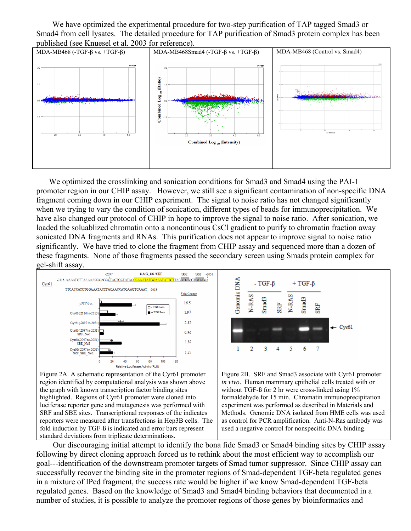We have optimized the experimental procedure for two-step purification of TAP tagged Smad3 or Smad4 from cell lysates. The detailed procedure for TAP purification of Smad3 protein complex has been published (see Knuesel et al. 2003 for reference).



We optimized the crosslinking and sonication conditions for Smad3 and Smad4 using the PAI-1 promoter region in our CHIP assay. However, we still see a significant contamination of non-specific DNA fragment coming down in our CHIP experiment. The signal to noise ratio has not changed significantly when we trying to vary the condition of sonication, different types of beads for immunoprecipitation. We have also changed our protocol of CHIP in hope to improve the signal to noise ratio. After sonication, we loaded the soluablized chromatin onto a noncontinous CsCl gradient to purify to chromatin fraction away sonicated DNA fragments and RNAs. This purification does not appear to improve signal to noise ratio significantly. We have tried to clone the fragment from CHIP assay and sequenced more than a dozen of these fragments. None of those fragments passed the secondary screen using Smads protein complex for gel-shift assay.



 Our discouraging initial attempt to identify the bona fide Smad3 or Smad4 binding sites by CHIP assay following by direct cloning approach forced us to rethink about the most efficient way to accomplish our goal---identification of the downstream promoter targets of Smad tumor suppressor. Since CHIP assay can successfully recover the binding site in the promoter regions of Smad-dependent TGF-beta regulated genes in a mixture of IPed fragment, the success rate would be higher if we know Smad-dependent TGF-beta regulated genes. Based on the knowledge of Smad3 and Smad4 binding behaviors that documented in a number of studies, it is possible to analyze the promoter regions of those genes by bioinformatics and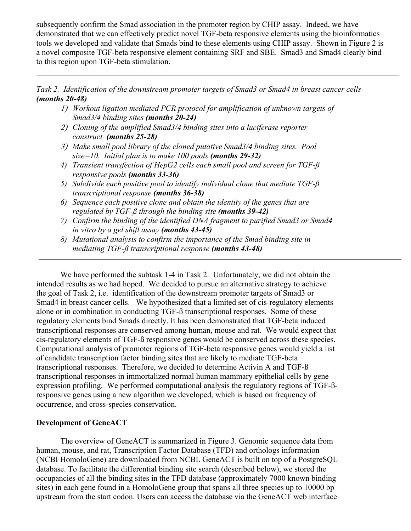subsequently confirm the Smad association in the promoter region by CHIP assay. Indeed, we have demonstrated that we can effectively predict novel TGF-beta responsive elements using the bioinformatics tools we developed and validate that Smads bind to these elements using CHIP assay. Shown in Figure 2 is a novel composite TGF-beta responsive element containing SRF and SBE. Smad3 and Smad4 clearly bind to this region upon TGF-beta stimulation.

*Task 2. Identification of the downstream promoter targets of Smad3 or Smad4 in breast cancer cells (months 20-48)*

- 1) *Workout ligation mediated PCR protocol for amplification of unknown targets of Smad3/4 binding sites (months 20-24)*
- 2) *Cloning of the amplified Smad3/4 binding sites into a luciferase reporter construct (months 25-28)*
- 3) *Make small pool library of the cloned putative Smad3/4 binding sites. Pool size=10. Initial plan is to make 100 pools (months 29-32)*
- *4) Transient transfection of HepG2 cells each small pool and screen for TGF-ß responsive pools (months 33-36)*
- *5) Subdivide each positive pool to identify individual clone that mediate TGF-ß transcriptional response (months 36-38)*
- *6) Sequence each positive clone and obtain the identity of the genes that are regulated by TGF-ß through the binding site (months 39-42)*
- *7) Confirm the binding of the identified DNA fragment to purified Smad3 or Smad4 in vitro by a gel shift assay (months 43-45)*
- *8) Mutational analysis to confirm the importance of the Smad binding site in mediating TGF-ß transcriptional response (months 43-48)*

We have performed the subtask 1-4 in Task 2. Unfortunately, we did not obtain the intended results as we had hoped. We decided to pursue an alternative strategy to achieve the goal of Task 2, i.e. identification of the downstream promoter targets of Smad3 or Smad4 in breast cancer cells. We hypothesized that a limited set of cis-regulatory elements alone or in combination in conducting TGF-ß transcriptional responses. Some of these regulatory elements bind Smads directly. It has been demonstrated that TGF-beta induced transcriptional responses are conserved among human, mouse and rat. We would expect that cis-regulatory elements of TGF-ß responsive genes would be conserved across these species. Computational analysis of promoter regions of TGF-beta responsive genes would yield a list of candidate transcription factor binding sites that are likely to mediate TGF-beta transcriptional responses. Therefore, we decided to determine Activin A and TGF-ß transcriptional responses in immortalized normal human mammary epithelial cells by gene expression profiling. We performed computational analysis the regulatory regions of TGF-ßresponsive genes using a new algorithm we developed, which is based on frequency of occurrence, and cross-species conservation.

#### **Development of GeneACT**

 The overview of GeneACT is summarized in Figure 3. Genomic sequence data from human, mouse, and rat, Transcription Factor Database (TFD) and orthologs information (NCBI HomoloGene) are downloaded from NCBI. GeneACT is built on top of a PostgreSQL database. To facilitate the differential binding site search (described below), we stored the occupancies of all the binding sites in the TFD database (approximately 7000 known binding sites) in each gene found in a HomoloGene group that spans all three species up to 10000 bp upstream from the start codon. Users can access the database via the GeneACT web interface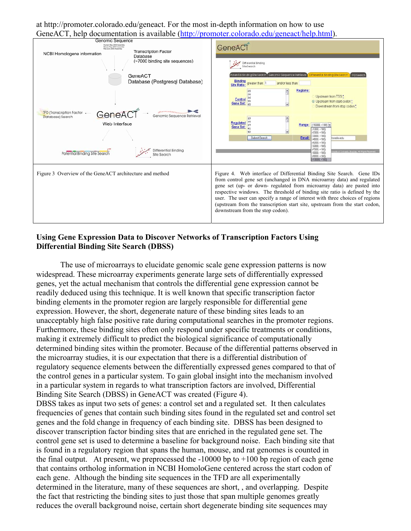at http://promoter.colorado.edu/geneact. For the most in-depth information on how to use GeneACT, help documentation is available (http://promoter.colorado.edu/geneact/help.html).

| Genomic Sequence                                                                                            |                                                                                           |
|-------------------------------------------------------------------------------------------------------------|-------------------------------------------------------------------------------------------|
| Human May 2004 Assembly<br>Mouse May 2004 Assembly<br>Rat June 2003 Assembly<br><b>Transcription Factor</b> | GeneACT                                                                                   |
| NCBI Homologene information<br>Database                                                                     |                                                                                           |
| (~7000 binding site sequences)                                                                              |                                                                                           |
|                                                                                                             | Differential Binding                                                                      |
|                                                                                                             | SiteSearch                                                                                |
|                                                                                                             | otential Binding Site Search Genomic Sequence Retrieval Chifferential Binding Site Search |
| GeneACT                                                                                                     | TFD Search                                                                                |
| Database (Postgresql Database)                                                                              | Binding<br>Site Ratio:<br>and/or less than:<br>preater than: 3                            |
|                                                                                                             |                                                                                           |
|                                                                                                             | Regions:<br>26                                                                            |
|                                                                                                             | Upstream from TSS!<br>Control                                                             |
|                                                                                                             | <b>E</b> Upstream from start codon <sup>*</sup><br>Gene Set:                              |
|                                                                                                             | Downstream from stop codon"                                                               |
| <b>IFD (Transcription Factor</b><br>GeneA                                                                   |                                                                                           |
| Genomic Sequence Retrievo<br>Database) Search                                                               | 19                                                                                        |
| Web Interface                                                                                               | Regulated                                                                                 |
|                                                                                                             | Range: (-10000, +100) ×<br>Gene Set:<br>$(-1000, +100)$                                   |
|                                                                                                             | $(-2000, +100)$                                                                           |
|                                                                                                             | $-3000 + 100$<br>Email:<br>Submit Search<br>orado.edu<br>$-4000 + 100$                    |
|                                                                                                             | $(-5000, +100)$                                                                           |
|                                                                                                             | $-6000 + 100$                                                                             |
| ferential Bindina<br>Potential Binding Site Search                                                          | $-7000 + 100$<br>gibr of Calesado, Boulder, All Rights Reserved<br>$-8000 + 100$          |
| Site Search                                                                                                 | $-9000 + 100$                                                                             |
|                                                                                                             | $(-10000, +100)$                                                                          |
|                                                                                                             |                                                                                           |
| Figure 3 Overview of the GeneACT architecture and method                                                    | Figure 4. Web interface of Differential Binding Site Search. Gene IDs                     |
|                                                                                                             |                                                                                           |
|                                                                                                             | from control gene set (unchanged in DNA microarray data) and regulated                    |
|                                                                                                             | gene set (up- or down- regulated from microarray data) are pasted into                    |
|                                                                                                             | respective windows. The threshold of binding site ratio is defined by the                 |
|                                                                                                             | user. The user can specify a range of interest with three choices of regions              |
|                                                                                                             |                                                                                           |
|                                                                                                             | (upstream from the transcription start site, upstream from the start codon,               |
|                                                                                                             | downstream from the stop codon).                                                          |
|                                                                                                             |                                                                                           |
|                                                                                                             |                                                                                           |

### **Using Gene Expression Data to Discover Networks of Transcription Factors Using Differential Binding Site Search (DBSS)**

 The use of microarrays to elucidate genomic scale gene expression patterns is now widespread. These microarray experiments generate large sets of differentially expressed genes, yet the actual mechanism that controls the differential gene expression cannot be readily deduced using this technique. It is well known that specific transcription factor binding elements in the promoter region are largely responsible for differential gene expression. However, the short, degenerate nature of these binding sites leads to an unacceptably high false positive rate during computational searches in the promoter regions. Furthermore, these binding sites often only respond under specific treatments or conditions, making it extremely difficult to predict the biological significance of computationally determined binding sites within the promoter. Because of the differential patterns observed in the microarray studies, it is our expectation that there is a differential distribution of regulatory sequence elements between the differentially expressed genes compared to that of the control genes in a particular system. To gain global insight into the mechanism involved in a particular system in regards to what transcription factors are involved, Differential Binding Site Search (DBSS) in GeneACT was created (Figure 4). DBSS takes as input two sets of genes: a control set and a regulated set. It then calculates

frequencies of genes that contain such binding sites found in the regulated set and control set genes and the fold change in frequency of each binding site. DBSS has been designed to discover transcription factor binding sites that are enriched in the regulated gene set. The control gene set is used to determine a baseline for background noise. Each binding site that is found in a regulatory region that spans the human, mouse, and rat genomes is counted in the final output. At present, we preprocessed the  $-10000$  bp to  $+100$  bp region of each gene that contains ortholog information in NCBI HomoloGene centered across the start codon of each gene. Although the binding site sequences in the TFD are all experimentally determined in the literature, many of these sequences are short, , and overlapping. Despite the fact that restricting the binding sites to just those that span multiple genomes greatly reduces the overall background noise, certain short degenerate binding site sequences may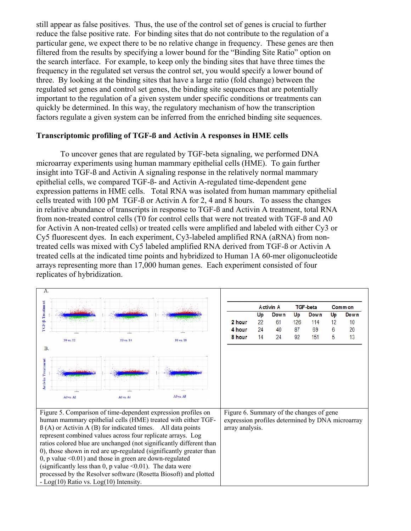still appear as false positives. Thus, the use of the control set of genes is crucial to further reduce the false positive rate. For binding sites that do not contribute to the regulation of a particular gene, we expect there to be no relative change in frequency. These genes are then filtered from the results by specifying a lower bound for the "Binding Site Ratio" option on the search interface. For example, to keep only the binding sites that have three times the frequency in the regulated set versus the control set, you would specify a lower bound of three. By looking at the binding sites that have a large ratio (fold change) between the regulated set genes and control set genes, the binding site sequences that are potentially important to the regulation of a given system under specific conditions or treatments can quickly be determined. In this way, the regulatory mechanism of how the transcription factors regulate a given system can be inferred from the enriched binding site sequences.

#### **Transcriptomic profiling of TGF-ß and Activin A responses in HME cells**

 To uncover genes that are regulated by TGF-beta signaling, we performed DNA microarray experiments using human mammary epithelial cells (HME). To gain further insight into TGF-ß and Activin A signaling response in the relatively normal mammary epithelial cells, we compared TGF-ß- and Activin A-regulated time-dependent gene expression patterns in HME cells. Total RNA was isolated from human mammary epithelial cells treated with 100 pM TGF-ß or Activin A for 2, 4 and 8 hours. To assess the changes in relative abundance of transcripts in response to TGF-ß and Activin A treatment, total RNA from non-treated control cells (T0 for control cells that were not treated with TGF-ß and A0 for Activin A non-treated cells) or treated cells were amplified and labeled with either Cy3 or Cy5 fluorescent dyes. In each experiment, Cy3-labeled amplified RNA (aRNA) from nontreated cells was mixed with Cy5 labeled amplified RNA derived from TGF-ß or Activin A treated cells at the indicated time points and hybridized to Human 1A 60-mer oligonucleotide arrays representing more than 17,000 human genes. Each experiment consisted of four replicates of hybridization.

| A.                                                                  |               |                  |                                                               |                                          |          |                  |          |                 |        |              |
|---------------------------------------------------------------------|---------------|------------------|---------------------------------------------------------------|------------------------------------------|----------|------------------|----------|-----------------|--------|--------------|
| TGF-B Treatment                                                     |               |                  |                                                               |                                          |          | <b>Activin A</b> |          | <b>TGF-beta</b> |        | Comm on      |
|                                                                     |               |                  |                                                               |                                          | Up       | <b>Down</b>      | Up       | <b>Down</b>     | Up     | Down         |
|                                                                     |               |                  |                                                               | 2 hour                                   | 22       | 61               | 126      | 114             | 12     | $10^{\circ}$ |
|                                                                     |               |                  |                                                               | 4 hour<br>8 hour                         | 24<br>14 | 40<br>24         | 87<br>92 | 69<br>151       | 6<br>5 | 20<br>13     |
|                                                                     | T0 vs. T2     | <b>TO vs. T4</b> | <b>TO vs. T8</b>                                              |                                          |          |                  |          |                 |        |              |
| <b>B.</b>                                                           |               |                  |                                                               |                                          |          |                  |          |                 |        |              |
| <b>Activin Treatment</b>                                            |               |                  |                                                               |                                          |          |                  |          |                 |        |              |
|                                                                     | $A0$ vs. $A2$ | A0 vs. A4        | $A0$ vs. $A8$                                                 |                                          |          |                  |          |                 |        |              |
|                                                                     |               |                  | Figure 5. Comparison of time-dependent expression profiles on | Figure 6. Summary of the changes of gene |          |                  |          |                 |        |              |
| human mammary epithelial cells (HME) treated with either TGF-       |               |                  | expression profiles determined by DNA microarray              |                                          |          |                  |          |                 |        |              |
| $\beta$ (A) or Activin A (B) for indicated times. All data points   |               |                  | array analysis.                                               |                                          |          |                  |          |                 |        |              |
| represent combined values across four replicate arrays. Log         |               |                  |                                                               |                                          |          |                  |          |                 |        |              |
| ratios colored blue are unchanged (not significantly different than |               |                  |                                                               |                                          |          |                  |          |                 |        |              |
| 0), those shown in red are up-regulated (significantly greater than |               |                  |                                                               |                                          |          |                  |          |                 |        |              |
| 0, p value $\leq$ 0.01) and those in green are down-regulated       |               |                  |                                                               |                                          |          |                  |          |                 |        |              |
| (significantly less than 0, p value $\leq 0.01$ ). The data were    |               |                  |                                                               |                                          |          |                  |          |                 |        |              |
| processed by the Resolver software (Rosetta Biosoft) and plotted    |               |                  |                                                               |                                          |          |                  |          |                 |        |              |
| - Log(10) Ratio vs. Log(10) Intensity.                              |               |                  |                                                               |                                          |          |                  |          |                 |        |              |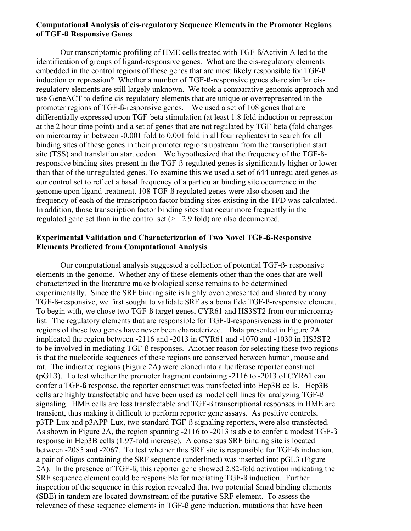#### **Computational Analysis of cis-regulatory Sequence Elements in the Promoter Regions of TGF-ß Responsive Genes**

 Our transcriptomic profiling of HME cells treated with TGF-ß/Activin A led to the identification of groups of ligand-responsive genes. What are the cis-regulatory elements embedded in the control regions of these genes that are most likely responsible for TGF-ß induction or repression? Whether a number of TGF-ß-responsive genes share similar cisregulatory elements are still largely unknown. We took a comparative genomic approach and use GeneACT to define cis-regulatory elements that are unique or overrepresented in the promoter regions of TGF-ß-responsive genes. We used a set of 108 genes that are differentially expressed upon TGF-beta stimulation (at least 1.8 fold induction or repression at the 2 hour time point) and a set of genes that are not regulated by TGF-beta (fold changes on microarray in between -0.001 fold to 0.001 fold in all four replicates) to search for all binding sites of these genes in their promoter regions upstream from the transcription start site (TSS) and translation start codon. We hypothesized that the frequency of the TGF-ßresponsive binding sites present in the TGF-ß-regulated genes is significantly higher or lower than that of the unregulated genes. To examine this we used a set of 644 unregulated genes as our control set to reflect a basal frequency of a particular binding site occurrence in the genome upon ligand treatment. 108 TGF-ß regulated genes were also chosen and the frequency of each of the transcription factor binding sites existing in the TFD was calculated. In addition, those transcription factor binding sites that occur more frequently in the regulated gene set than in the control set  $(>= 2.9 \text{ fold})$  are also documented.

#### **Experimental Validation and Characterization of Two Novel TGF-ß-Responsive Elements Predicted from Computational Analysis**

 Our computational analysis suggested a collection of potential TGF-ß- responsive elements in the genome. Whether any of these elements other than the ones that are wellcharacterized in the literature make biological sense remains to be determined experimentally. Since the SRF binding site is highly overrepresented and shared by many TGF-ß-responsive, we first sought to validate SRF as a bona fide TGF-ß-responsive element. To begin with, we chose two TGF-ß target genes, CYR61 and HS3ST2 from our microarray list. The regulatory elements that are responsible for TGF-ß-responsiveness in the promoter regions of these two genes have never been characterized. Data presented in Figure 2A implicated the region between -2116 and -2013 in CYR61 and -1070 and -1030 in HS3ST2 to be involved in mediating TGF-ß responses. Another reason for selecting these two regions is that the nucleotide sequences of these regions are conserved between human, mouse and rat. The indicated regions (Figure 2A) were cloned into a luciferase reporter construct (pGL3). To test whether the promoter fragment containing -2116 to -2013 of CYR61 can confer a TGF-ß response, the reporter construct was transfected into Hep3B cells. Hep3B cells are highly transfectable and have been used as model cell lines for analyzing TGF-ß signaling. HME cells are less transfectable and TGF-ß transcriptional responses in HME are transient, thus making it difficult to perform reporter gene assays. As positive controls, p3TP-Lux and p3APP-Lux, two standard TGF-ß signaling reporters, were also transfected. As shown in Figure 2A, the region spanning -2116 to -2013 is able to confer a modest TGF-ß response in Hep3B cells (1.97-fold increase). A consensus SRF binding site is located between -2085 and -2067. To test whether this SRF site is responsible for TGF-ß induction, a pair of oligos containing the SRF sequence (underlined) was inserted into pGL3 (Figure 2A). In the presence of TGF-ß, this reporter gene showed 2.82-fold activation indicating the SRF sequence element could be responsible for mediating TGF-ß induction. Further inspection of the sequence in this region revealed that two potential Smad binding elements (SBE) in tandem are located downstream of the putative SRF element. To assess the relevance of these sequence elements in TGF-ß gene induction, mutations that have been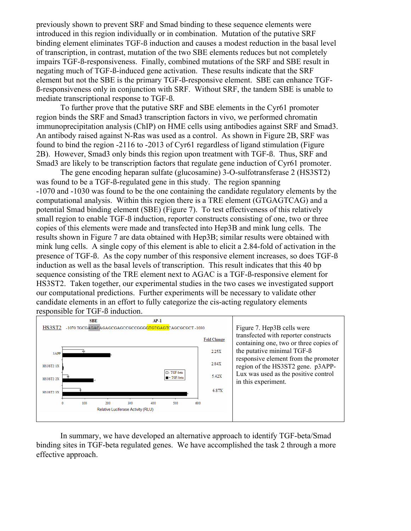previously shown to prevent SRF and Smad binding to these sequence elements were introduced in this region individually or in combination. Mutation of the putative SRF binding element eliminates TGF-ß induction and causes a modest reduction in the basal level of transcription, in contrast, mutation of the two SBE elements reduces but not completely impairs TGF-ß-responsiveness. Finally, combined mutations of the SRF and SBE result in negating much of TGF-ß-induced gene activation. These results indicate that the SRF element but not the SBE is the primary TGF-ß-responsive element. SBE can enhance TGFß-responsiveness only in conjunction with SRF. Without SRF, the tandem SBE is unable to mediate transcriptional response to TGF-ß.

 To further prove that the putative SRF and SBE elements in the Cyr61 promoter region binds the SRF and Smad3 transcription factors in vivo, we performed chromatin immunoprecipitation analysis (ChIP) on HME cells using antibodies against SRF and Smad3. An antibody raised against N-Ras was used as a control. As shown in Figure 2B, SRF was found to bind the region -2116 to -2013 of Cyr61 regardless of ligand stimulation (Figure 2B). However, Smad3 only binds this region upon treatment with TGF-ß. Thus, SRF and Smad3 are likely to be transcription factors that regulate gene induction of Cyr61 promoter.

 The gene encoding heparan sulfate (glucosamine) 3-O-sulfotransferase 2 (HS3ST2) was found to be a TGF-ß-regulated gene in this study. The region spanning -1070 and -1030 was found to be the one containing the candidate regulatory elements by the computational analysis. Within this region there is a TRE element (GTGAGTCAG) and a potential Smad binding element (SBE) (Figure 7). To test effectiveness of this relatively small region to enable TGF-ß induction, reporter constructs consisting of one, two or three copies of this elements were made and transfected into Hep3B and mink lung cells. The results shown in Figure 7 are data obtained with Hep3B; similar results were obtained with mink lung cells. A single copy of this element is able to elicit a 2.84-fold of activation in the presence of TGF-ß. As the copy number of this responsive element increases, so does TGF-ß induction as well as the basal levels of transcription. This result indicates that this 40 bp sequence consisting of the TRE element next to AGAC is a TGF-ß-responsive element for HS3ST2. Taken together, our experimental studies in the two cases we investigated support our computational predictions. Further experiments will be necessary to validate other candidate elements in an effort to fully categorize the cis-acting regulatory elements responsible for TGF-ß induction.



 In summary, we have developed an alternative approach to identify TGF-beta/Smad binding sites in TGF-beta regulated genes. We have accomplished the task 2 through a more effective approach.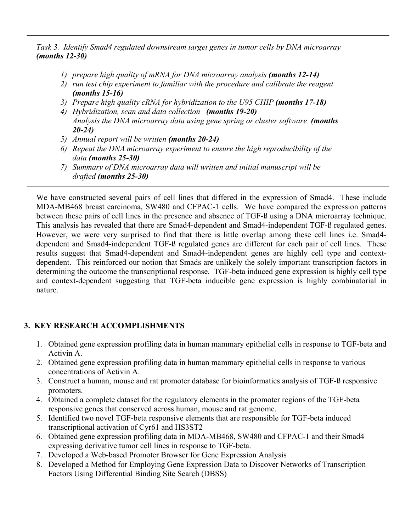*Task 3. Identify Smad4 regulated downstream target genes in tumor cells by DNA microarray (months 12-30)*

- *1) prepare high quality of mRNA for DNA microarray analysis (months 12-14)*
- *2) run test chip experiment to familiar with the procedure and calibrate the reagent (months 15-16)*
- *3) Prepare high quality cRNA for hybridization to the U95 CHIP (months 17-18)*
- *4) Hybridization, scan and data collection (months 19-20) Analysis the DNA microarray data using gene spring or cluster software (months 20-24)*
- *5) Annual report will be written (months 20-24)*
- *6) Repeat the DNA microarray experiment to ensure the high reproducibility of the data (months 25-30)*
- *7) Summary of DNA microarray data will written and initial manuscript will be drafted (months 25-30)*

We have constructed several pairs of cell lines that differed in the expression of Smad4. These include MDA-MB468 breast carcinoma, SW480 and CFPAC-1 cells. We have compared the expression patterns between these pairs of cell lines in the presence and absence of TGF-ß using a DNA microarray technique. This analysis has revealed that there are Smad4-dependent and Smad4-independent TGF-ß regulated genes. However, we were very surprised to find that there is little overlap among these cell lines i.e. Smad4 dependent and Smad4-independent TGF-ß regulated genes are different for each pair of cell lines. These results suggest that Smad4-dependent and Smad4-independent genes are highly cell type and contextdependent. This reinforced our notion that Smads are unlikely the solely important transcription factors in determining the outcome the transcriptional response. TGF-beta induced gene expression is highly cell type and context-dependent suggesting that TGF-beta inducible gene expression is highly combinatorial in nature.

# **3. KEY RESEARCH ACCOMPLISHMENTS**

- 1. Obtained gene expression profiling data in human mammary epithelial cells in response to TGF-beta and Activin A.
- 2. Obtained gene expression profiling data in human mammary epithelial cells in response to various concentrations of Activin A.
- 3. Construct a human, mouse and rat promoter database for bioinformatics analysis of TGF-ß responsive promoters.
- 4. Obtained a complete dataset for the regulatory elements in the promoter regions of the TGF-beta responsive genes that conserved across human, mouse and rat genome.
- 5. Identified two novel TGF-beta responsive elements that are responsible for TGF-beta induced transcriptional activation of Cyr61 and HS3ST2
- 6. Obtained gene expression profiling data in MDA-MB468, SW480 and CFPAC-1 and their Smad4 expressing derivative tumor cell lines in response to TGF-beta.
- 7. Developed a Web-based Promoter Browser for Gene Expression Analysis
- 8. Developed a Method for Employing Gene Expression Data to Discover Networks of Transcription Factors Using Differential Binding Site Search (DBSS)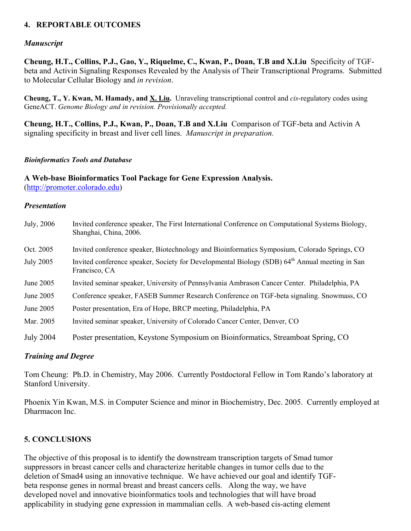# **4. REPORTABLE OUTCOMES**

# *Manuscript*

**Cheung, H.T., Collins, P.J., Gao, Y., Riquelme, C., Kwan, P., Doan, T.B and X.Liu** Specificity of TGFbeta and Activin Signaling Responses Revealed by the Analysis of Their Transcriptional Programs. Submitted to Molecular Cellular Biology and *in revision*.

**Cheung, T., Y. Kwan, M. Hamady, and X. Liu.** Unraveling transcriptional control and *cis*-regulatory codes using GeneACT. *Genome Biology and in revision. Provisionally accepted.* 

**Cheung, H.T., Collins, P.J., Kwan, P., Doan, T.B and X.Liu** Comparison of TGF-beta and Activin A signaling specificity in breast and liver cell lines. *Manuscript in preparation.* 

#### *Bioinformatics Tools and Database*

**A Web-base Bioinformatics Tool Package for Gene Expression Analysis.**  (http://promoter.colorado.edu)

#### *Presentation*

| July, 2006       | Invited conference speaker, The First International Conference on Computational Systems Biology,<br>Shanghai, China, 2006.  |
|------------------|-----------------------------------------------------------------------------------------------------------------------------|
| Oct. 2005        | Invited conference speaker, Biotechnology and Bioinformatics Symposium, Colorado Springs, CO                                |
| <b>July 2005</b> | Invited conference speaker, Society for Developmental Biology (SDB) 64 <sup>th</sup> Annual meeting in San<br>Francisco, CA |
| June 2005        | Invited seminar speaker, University of Pennsylvania Ambrason Cancer Center. Philadelphia, PA                                |
| June 2005        | Conference speaker, FASEB Summer Research Conference on TGF-beta signaling. Snowmass, CO                                    |
| June 2005        | Poster presentation, Era of Hope, BRCP meeting, Philadelphia, PA                                                            |
| Mar. 2005        | Invited seminar speaker, University of Colorado Cancer Center, Denver, CO                                                   |
| <b>July 2004</b> | Poster presentation, Keystone Symposium on Bioinformatics, Streamboat Spring, CO                                            |

#### *Training and Degree*

Tom Cheung: Ph.D. in Chemistry, May 2006. Currently Postdoctoral Fellow in Tom Rando's laboratory at Stanford University.

Phoenix Yin Kwan, M.S. in Computer Science and minor in Biochemistry, Dec. 2005. Currently employed at Dharmacon Inc.

## **5. CONCLUSIONS**

The objective of this proposal is to identify the downstream transcription targets of Smad tumor suppressors in breast cancer cells and characterize heritable changes in tumor cells due to the deletion of Smad4 using an innovative technique. We have achieved our goal and identify TGFbeta response genes in normal breast and breast cancers cells. Along the way, we have developed novel and innovative bioinformatics tools and technologies that will have broad applicability in studying gene expression in mammalian cells. A web-based cis-acting element